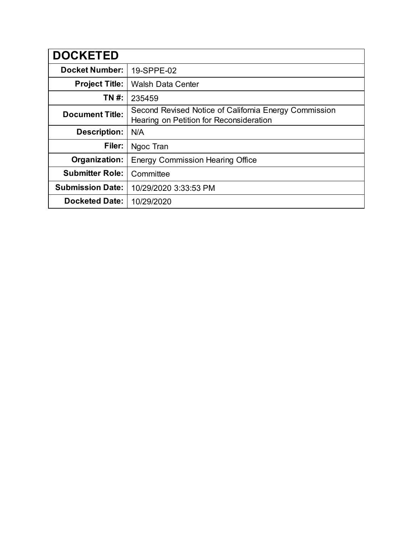| <b>DOCKETED</b>         |                                                                                                  |
|-------------------------|--------------------------------------------------------------------------------------------------|
| <b>Docket Number:</b>   | 19-SPPE-02                                                                                       |
| <b>Project Title:</b>   | <b>Walsh Data Center</b>                                                                         |
| TN #:                   | 235459                                                                                           |
| <b>Document Title:</b>  | Second Revised Notice of California Energy Commission<br>Hearing on Petition for Reconsideration |
| <b>Description:</b>     | N/A                                                                                              |
| Filer:                  | Ngoc Tran                                                                                        |
| Organization:           | <b>Energy Commission Hearing Office</b>                                                          |
| <b>Submitter Role:</b>  | Committee                                                                                        |
| <b>Submission Date:</b> | 10/29/2020 3:33:53 PM                                                                            |
| <b>Docketed Date:</b>   | 10/29/2020                                                                                       |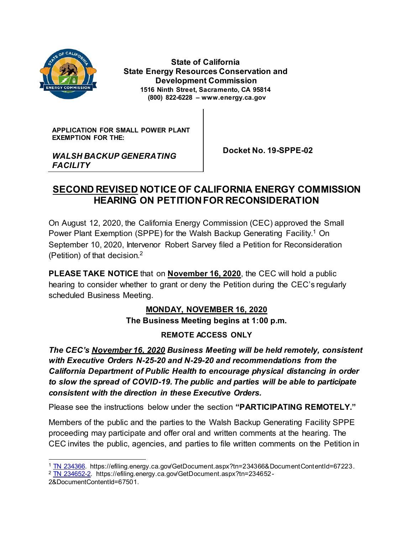

*FACILITY*

 **State of California State Energy Resources Conservation and Development Commission 1516 Ninth Street, Sacramento, CA 95814 (800) 822-6228 – www.energy.ca.gov**

**APPLICATION FOR SMALL POWER PLANT EXEMPTION FOR THE:**

*WALSH BACKUP GENERATING* 

 **Docket No. 19-SPPE-02**

# **SECOND REVISED NOTICE OF CALIFORNIA ENERGY COMMISSION HEARING ON PETITIONFOR RECONSIDERATION**

On August 12, 2020, the California Energy Commission (CEC) approved the Small Power Plant Exemption (SPPE) for the Walsh Backup Generating Facility.<sup>1</sup> On September 10, 2020, Intervenor Robert Sarvey filed a Petition for Reconsideration (Petition) of that decision.<sup>2</sup>

**PLEASE TAKE NOTICE** that on **November 16, 2020**, the CEC will hold a public hearing to consider whether to grant or deny the Petition during the CEC's regularly scheduled Business Meeting.

#### **MONDAY, NOVEMBER 16, 2020**

**The Business Meeting begins at 1:00 p.m.**

#### **REMOTE ACCESS ONLY**

*The CEC's November 16, 2020 Business Meeting will be held remotely, consistent with Executive Orders N-25-20 and N-29-20 and recommendations from the California Department of Public Health to encourage physical distancing in order to slow the spread of COVID-19. The public and parties will be able to participate consistent with the direction in these Executive Orders.*

Please see the instructions below under the section **"PARTICIPATING REMOTELY."**

Members of the public and the parties to the Walsh Backup Generating Facility SPPE proceeding may participate and offer oral and written comments at the hearing. The CEC invites the public, agencies, and parties to file written comments on the Petition in

 <sup>1</sup> [TN 234366.](https://efiling.energy.ca.gov/GetDocument.aspx?tn=234366&DocumentContentId=67223) https://efiling.energy.ca.gov/GetDocument.aspx?tn=234366&DocumentContentId=67223.

<sup>&</sup>lt;sup>2</sup> [TN 234652-2.](https://efiling.energy.ca.gov/GetDocument.aspx?tn=234652-2&DocumentContentId=67501) https://efiling.energy.ca.gov/GetDocument.aspx?tn=234652-

<sup>2&</sup>amp;DocumentContentId=67501.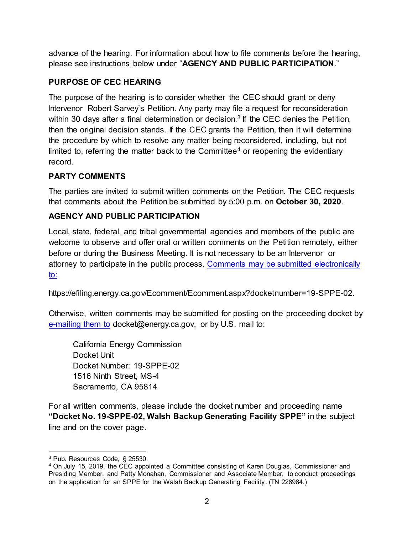advance of the hearing. For information about how to file comments before the hearing, please see instructions below under "**AGENCY AND PUBLIC PARTICIPATION**."

# **PURPOSE OF CEC HEARING**

The purpose of the hearing is to consider whether the CEC should grant or deny Intervenor Robert Sarvey's Petition. Any party may file a request for reconsideration within 30 days after a final determination or decision.<sup>3</sup> If the CEC denies the Petition, then the original decision stands. If the CEC grants the Petition, then it will determine the procedure by which to resolve any matter being reconsidered, including, but not limited to, referring the matter back to the Committee<sup>4</sup> or reopening the evidentiary record.

### **PARTY COMMENTS**

The parties are invited to submit written comments on the Petition. The CEC requests that comments about the Petition be submitted by 5:00 p.m. on **October 30, 2020**.

# **AGENCY AND PUBLIC PARTICIPATION**

Local, state, federal, and tribal governmental agencies and members of the public are welcome to observe and offer oral or written comments on the Petition remotely, either before or during the Business Meeting. It is not necessary to be an Intervenor or attorney to participate in the public process. [Comments may be submitted electronically](https://efiling.energy.ca.gov/Ecomment/Ecomment.aspx?docketnumber=19-SPPE-02)  [to:](https://efiling.energy.ca.gov/Ecomment/Ecomment.aspx?docketnumber=19-SPPE-02)

https://efiling.energy.ca.gov/Ecomment/Ecomment.aspx?docketnumber=19-SPPE-02.

Otherwise, written comments may be submitted for posting on the proceeding docket by [e-mailing them to](mailto:docket@energy.ca.gov) docket@energy.ca.gov, or by U.S. mail to:

California Energy Commission Docket Unit Docket Number: 19-SPPE-02 1516 Ninth Street, MS-4 Sacramento, CA 95814

For all written comments, please include the docket number and proceeding name **"Docket No. 19-SPPE-02, Walsh Backup Generating Facility SPPE"** in the subject line and on the cover page.

<sup>3</sup> Pub. Resources Code, § 25530.

<sup>4</sup> On July 15, 2019, the CEC appointed a Committee consisting of Karen Douglas, Commissioner and Presiding Member, and Patty Monahan, Commissioner and Associate Member, to conduct proceedings on the application for an SPPE for the Walsh Backup Generating Facility. (TN 228984.)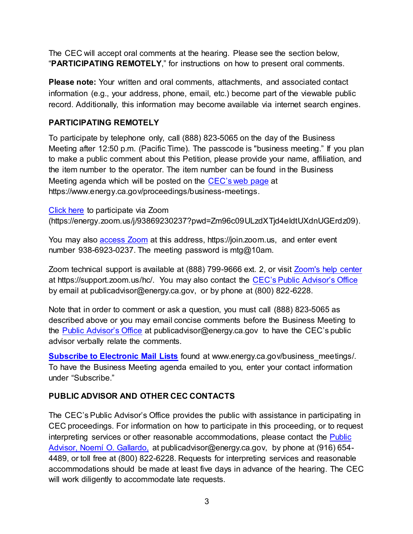The CEC will accept oral comments at the hearing. Please see the section below, "**PARTICIPATING REMOTELY**," for instructions on how to present oral comments.

**Please note:** Your written and oral comments, attachments, and associated contact information (e.g., your address, phone, email, etc.) become part of the viewable public record. Additionally, this information may become available via internet search engines.

### **PARTICIPATING REMOTELY**

To participate by telephone only, call (888) 823-5065 on the day of the Business Meeting after 12:50 p.m. (Pacific Time). The passcode is "business meeting." If you plan to make a public comment about this Petition, please provide your name, affiliation, and the item number to the operator. The item number can be found in the Business Meeting agenda which will be posted on the CEC'[s web page](https://www.energy.ca.gov/proceedings/business-meetings) at https://www.energy.ca.gov/proceedings/business-meetings.

#### [Click here](https://energy.zoom.us/j/93869230237?pwd=Zm96c09ULzdXTjd4eldtUXdnUGErdz09) to participate via Zoom

(https://energy.zoom.us/j/93869230237?pwd=Zm96c09ULzdXTjd4eldtUXdnUGErdz09).

You may also [access Zoom](https://join.zoom.us/) at this address, https://join.zoom.us, and enter event number 938-6923-0237. The meeting password is mtg@10am.

Zoom technical support is available at (888) 799-9666 ext. 2, or visit [Zoom's help center](https://support.zoom.us/hc) at https://support.zoom.us/hc/. You may also contact the [CEC's Public Advisor's Office](mailto:CEC’s%20Public%20Advisor’s%20Office) by email at publicadvisor@energy.ca.gov, or by phone at (800) 822-6228.

Note that in order to comment or ask a question, you must call (888) 823-5065 as described above or you may email concise comments before the Business Meeting to the [Public Advisor's Office](mailto:publicadvisor@energy.ca.gov) at publicadvisor@energy.ca.gov to have the CEC's public advisor verbally relate the comments.

**[Subscribe to Electronic Mail Lists](http://www.energy.ca.gov/business_meetings)** found at www.energy.ca.gov/business meetings/. To have the Business Meeting agenda emailed to you, enter your contact information under "Subscribe."

# **PUBLIC ADVISOR AND OTHER CEC CONTACTS**

The CEC's Public Advisor's Office provides the public with assistance in participating in CEC proceedings. For information on how to participate in this proceeding, or to request interpreting services or other reasonable accommodations, please contact the [Public](mailto:publicadvisor@energy.ca.gov)  [Advisor, Noemí O. Gallardo,](mailto:publicadvisor@energy.ca.gov) at publicadvisor@energy.ca.gov, by phone at (916) 654- 4489, or toll free at (800) 822-6228. Requests for interpreting services and reasonable accommodations should be made at least five days in advance of the hearing. The CEC will work diligently to accommodate late requests.